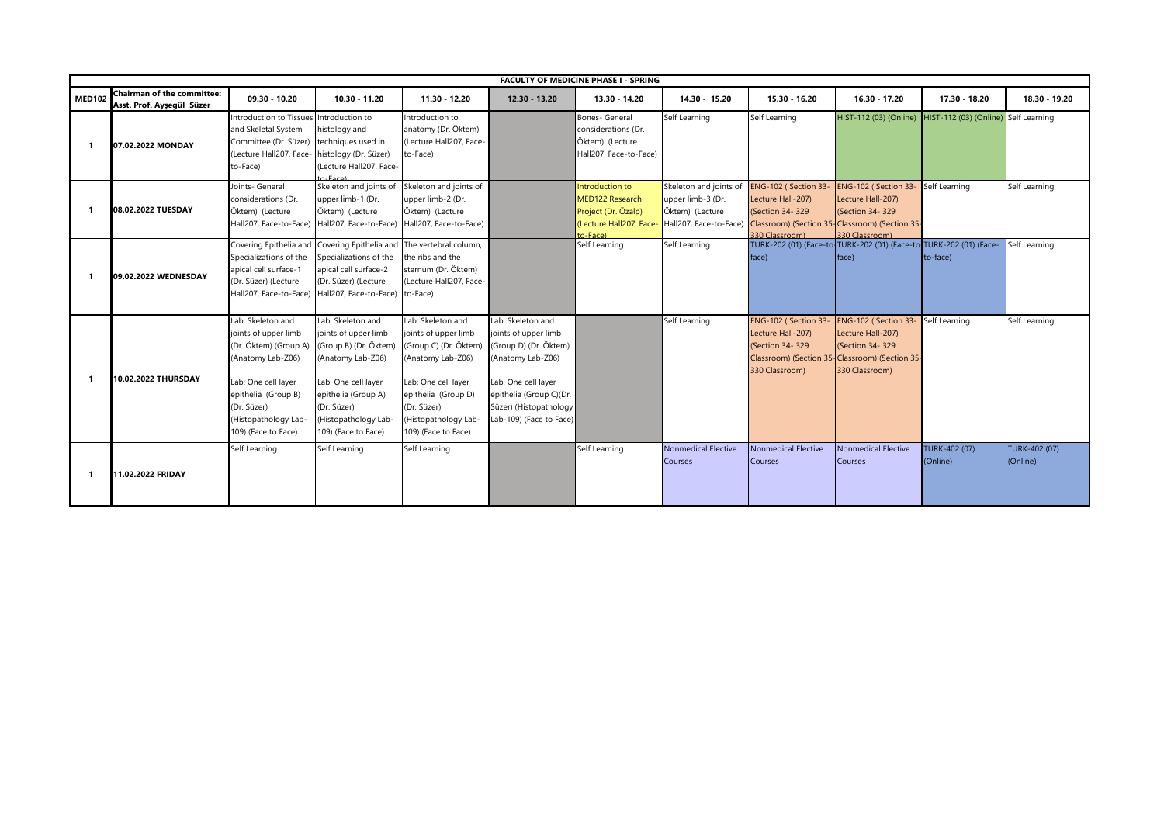|               |                                                                |                                                                                                                                                                                                     |                                                                                                                                                                                                     |                                                                                                                                                                                                     |                                                                                                                                                                                                | FACULTY OF MEDICINE PHASE I - SPRING                                                            |                                                                                          |                                                                                                                                                                      |                                                                                 |                                      |                           |
|---------------|----------------------------------------------------------------|-----------------------------------------------------------------------------------------------------------------------------------------------------------------------------------------------------|-----------------------------------------------------------------------------------------------------------------------------------------------------------------------------------------------------|-----------------------------------------------------------------------------------------------------------------------------------------------------------------------------------------------------|------------------------------------------------------------------------------------------------------------------------------------------------------------------------------------------------|-------------------------------------------------------------------------------------------------|------------------------------------------------------------------------------------------|----------------------------------------------------------------------------------------------------------------------------------------------------------------------|---------------------------------------------------------------------------------|--------------------------------------|---------------------------|
| <b>MED102</b> | <b>Chairman of the committee:</b><br>Asst. Prof. Ayseqül Süzer | $09.30 - 10.20$                                                                                                                                                                                     | $10.30 - 11.20$                                                                                                                                                                                     | 11.30 - 12.20                                                                                                                                                                                       | 12.30 - 13.20                                                                                                                                                                                  | 13.30 - 14.20                                                                                   | 14.30 - 15.20                                                                            | 15.30 - 16.20                                                                                                                                                        | 16.30 - 17.20                                                                   | 17.30 - 18.20                        | 18.30 - 19.20             |
|               | 07.02.2022 MONDAY                                              | Introduction to Tissues Introduction to<br>and Skeletal System<br>Committee (Dr. Süzer) techniques used in<br>(Lecture Hall207, Face-<br>to-Face)                                                   | histology and<br>histology (Dr. Süzer)<br>(Lecture Hall207, Face-<br>s-Eace)                                                                                                                        | Introduction to<br>anatomy (Dr. Öktem)<br>(Lecture Hall207, Face-<br>to-Face)                                                                                                                       |                                                                                                                                                                                                | Bones- General<br>considerations (Dr.<br>Öktem) (Lecture<br>Hall207, Face-to-Face)              | Self Learning                                                                            | Self Learning                                                                                                                                                        | HIST-112 (03) (Online)                                                          | HIST-112 (03) (Online) Self Learning |                           |
|               | 08.02.2022 TUESDAY                                             | Joints- General<br>considerations (Dr.<br>Öktem) (Lecture                                                                                                                                           | Skeleton and joints of<br>upper limb-1 (Dr.<br>Öktem) (Lecture<br>Hall207, Face-to-Face) Hall207, Face-to-Face)                                                                                     | Skeleton and joints of<br>upper limb-2 (Dr.<br>Öktem) (Lecture<br>Hall207, Face-to-Face)                                                                                                            |                                                                                                                                                                                                | Introduction to<br>MED122 Research<br>Project (Dr. Özalp)<br>(Lecture Hall207, Face-<br>n-Fare) | Skeleton and joints of<br>upper limb-3 (Dr.<br>Öktem) (Lecture<br>Hall207, Face-to-Face) | ENG-102 (Section 33- ENG-102 (Section 33- Self Learning<br>Lecture Hall-207)<br>(Section 34-329)<br>Classroom) (Section 35-Classroom) (Section 35-<br>330 Classroom) | Lecture Hall-207)<br>(Section 34-329)<br>330 Classroom)                         |                                      | Self Learning             |
|               | 09.02.2022 WEDNESDAY                                           | Specializations of the<br>apical cell surface-1<br>(Dr. Süzer) (Lecture                                                                                                                             | Covering Epithelia and Covering Epithelia and The vertebral column,<br>Specializations of the<br>apical cell surface-2<br>(Dr. Süzer) (Lecture<br>Hall207, Face-to-Face) Hall207, Face-to-Face)     | the ribs and the<br>sternum (Dr. Öktem)<br>(Lecture Hall207, Face-<br>to-Face)                                                                                                                      |                                                                                                                                                                                                | Self Learning                                                                                   | Self Learning                                                                            | face)                                                                                                                                                                | TURK-202 (01) (Face-to-TURK-202 (01) (Face-to-TURK-202 (01) (Face-<br>face)     | to-face)                             | Self Learning             |
| -1            | 10.02.2022 THURSDAY                                            | Lab: Skeleton and<br>joints of upper limb<br>(Dr. Öktem) (Group A)<br>(Anatomy Lab-Z06)<br>Lab: One cell layer<br>epithelia (Group B)<br>(Dr. Süzer)<br>(Histopathology Lab-<br>109) (Face to Face) | Lab: Skeleton and<br>joints of upper limb<br>(Group B) (Dr. Öktem)<br>(Anatomy Lab-Z06)<br>Lab: One cell layer<br>epithelia (Group A)<br>(Dr. Süzer)<br>(Histopathology Lab-<br>109) (Face to Face) | Lab: Skeleton and<br>joints of upper limb<br>(Group C) (Dr. Öktem)<br>(Anatomy Lab-Z06)<br>Lab: One cell layer<br>epithelia (Group D)<br>(Dr. Süzer)<br>(Histopathology Lab-<br>109) (Face to Face) | Lab: Skeleton and<br>joints of upper limb<br>(Group D) (Dr. Öktem)<br>(Anatomy Lab-Z06)<br>Lab: One cell layer<br>epithelia (Group C)(Dr.<br>Süzer) (Histopathology<br>Lab-109) (Face to Face) |                                                                                                 | Self Learning                                                                            | ENG-102 (Section 33-<br>Lecture Hall-207)<br>(Section 34-329)<br>Classroom) (Section 35-Classroom) (Section 35-<br>330 Classroom)                                    | ENG-102 (Section 33-<br>Lecture Hall-207)<br>(Section 34-329)<br>330 Classroom) | Self Learning                        | Self Learning             |
| -1            | 11.02.2022 FRIDAY                                              | Self Learning                                                                                                                                                                                       | Self Learning                                                                                                                                                                                       | Self Learning                                                                                                                                                                                       |                                                                                                                                                                                                | Self Learning                                                                                   | <b>Nonmedical Elective</b><br>Courses                                                    | Nonmedical Elective<br>Courses                                                                                                                                       | <b>Nonmedical Elective</b><br>Courses                                           | TURK-402 (07)<br>(Online)            | TURK-402 (07)<br>(Online) |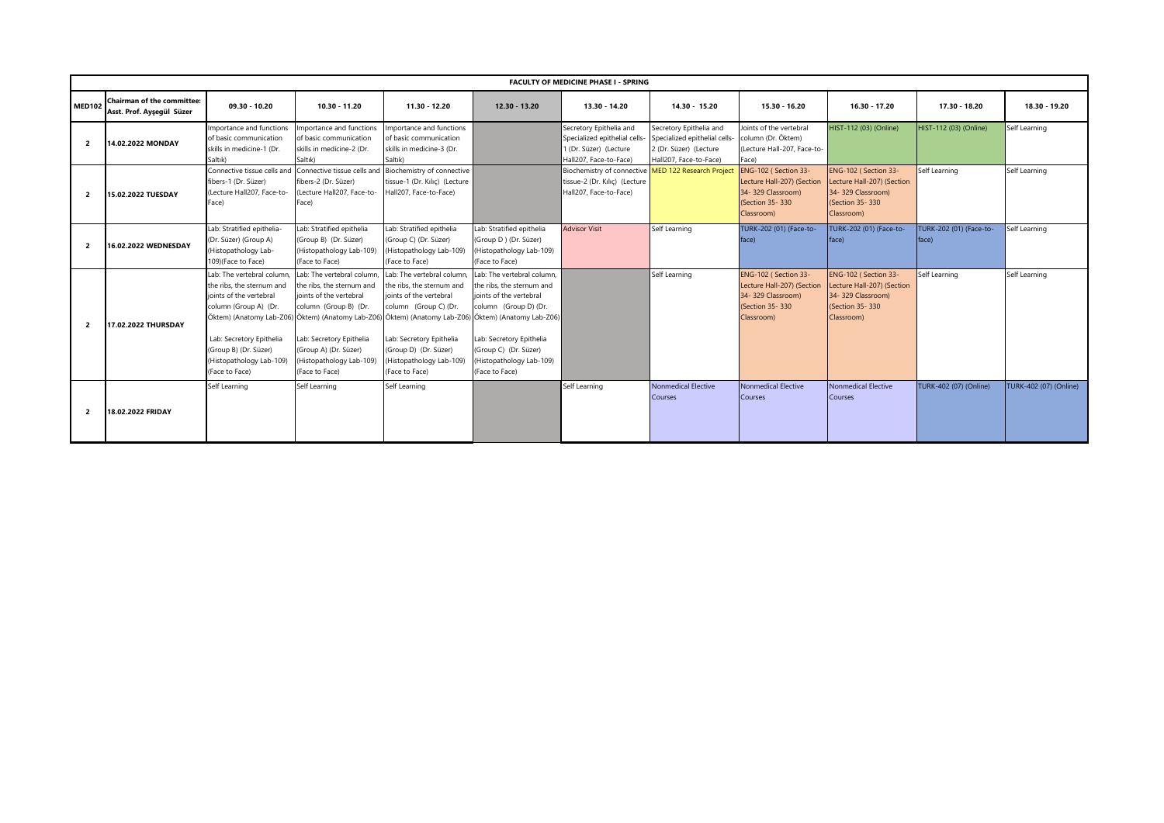|                | <b>FACULTY OF MEDICINE PHASE I - SPRING</b>                    |                                                                                                                                                                                                               |                                                                                                                                                                                                                |                                                                                                                                                                                                                                                                                                                      |                                                                                                                                                                                                                |                                                                                                                |                                                                                                              |                                                                                                           |                                                                                                           |                                  |                        |  |
|----------------|----------------------------------------------------------------|---------------------------------------------------------------------------------------------------------------------------------------------------------------------------------------------------------------|----------------------------------------------------------------------------------------------------------------------------------------------------------------------------------------------------------------|----------------------------------------------------------------------------------------------------------------------------------------------------------------------------------------------------------------------------------------------------------------------------------------------------------------------|----------------------------------------------------------------------------------------------------------------------------------------------------------------------------------------------------------------|----------------------------------------------------------------------------------------------------------------|--------------------------------------------------------------------------------------------------------------|-----------------------------------------------------------------------------------------------------------|-----------------------------------------------------------------------------------------------------------|----------------------------------|------------------------|--|
| <b>MED102</b>  | <b>Chairman of the committee:</b><br>Asst. Prof. Ayseqül Süzer | 09.30 - 10.20                                                                                                                                                                                                 | 10.30 - 11.20                                                                                                                                                                                                  | 11.30 - 12.20                                                                                                                                                                                                                                                                                                        | $12.30 - 13.20$                                                                                                                                                                                                | 13.30 - 14.20                                                                                                  | 14.30 - 15.20                                                                                                | 15.30 - 16.20                                                                                             | 16.30 - 17.20                                                                                             | 17.30 - 18.20                    | 18.30 - 19.20          |  |
| $\overline{2}$ | 14.02.2022 MONDAY                                              | Importance and functions<br>of basic communication<br>skills in medicine-1 (Dr.<br>Saltık)                                                                                                                    | Importance and functions<br>of basic communication<br>skills in medicine-2 (Dr.<br>Saltık)                                                                                                                     | mportance and functions<br>of basic communication<br>skills in medicine-3 (Dr.<br>Saltık)                                                                                                                                                                                                                            |                                                                                                                                                                                                                | Secretory Epithelia and<br>Specialized epithelial cells-<br>1 (Dr. Süzer) (Lecture<br>Hall207, Face-to-Face)   | Secretory Epithelia and<br>Specialized epithelial cells-<br>2 (Dr. Süzer) (Lecture<br>Hall207, Face-to-Face) | Joints of the vertebral<br>column (Dr. Öktem)<br>(Lecture Hall-207, Face-to-<br>Face)                     | HIST-112 (03) (Online)                                                                                    | HIST-112 (03) (Online)           | Self Learning          |  |
| $\overline{2}$ | 15.02.2022 TUESDAY                                             | Connective tissue cells and<br>fibers-1 (Dr. Süzer)<br>(Lecture Hall207, Face-to-<br>Face)                                                                                                                    | fibers-2 (Dr. Süzer)<br>(Lecture Hall207, Face-to-<br>Face)                                                                                                                                                    | Connective tissue cells and Biochemistry of connective<br>tissue-1 (Dr. Kilic) (Lecture<br>Hall207, Face-to-Face)                                                                                                                                                                                                    |                                                                                                                                                                                                                | Biochemistry of connective MED 122 Research Project<br>tissue-2 (Dr. Kılıç) (Lecture<br>Hall207, Face-to-Face) |                                                                                                              | ENG-102 (Section 33-<br>Lecture Hall-207) (Section<br>34-329 Classroom)<br>(Section 35-330)<br>Classroom) | ENG-102 (Section 33-<br>Lecture Hall-207) (Section<br>34-329 Classroom)<br>(Section 35-330)<br>Classroom) | Self Learning                    | Self Learning          |  |
| $\overline{2}$ | 16.02.2022 WEDNESDAY                                           | Lab: Stratified epithelia-<br>(Dr. Süzer) (Group A)<br>(Histopathology Lab-<br>109)(Face to Face)                                                                                                             | Lab: Stratified epithelia<br>(Group B) (Dr. Süzer)<br>(Histopathology Lab-109)<br>(Face to Face)                                                                                                               | Lab: Stratified epithelia<br>(Group C) (Dr. Süzer)<br>Histopathology Lab-109)<br>(Face to Face)                                                                                                                                                                                                                      | Lab: Stratified epithelia<br>(Group D) (Dr. Süzer)<br>(Histopathology Lab-109)<br>(Face to Face)                                                                                                               | <b>Advisor Visit</b>                                                                                           | Self Learning                                                                                                | TURK-202 (01) (Face-to-<br>face)                                                                          | TURK-202 (01) (Face-to-<br>face)                                                                          | TURK-202 (01) (Face-to-<br>face) | Self Learning          |  |
| $\overline{2}$ | 17.02.2022 THURSDAY                                            | Lab: The vertebral column<br>the ribs, the sternum and<br>ioints of the vertebral<br>column (Group A) (Dr.<br>Lab: Secretory Epithelia<br>(Group B) (Dr. Süzer)<br>(Histopathology Lab-109)<br>(Face to Face) | Lab: The vertebral column,<br>the ribs, the sternum and<br>joints of the vertebral<br>column (Group B) (Dr.<br>Lab: Secretory Epithelia<br>(Group A) (Dr. Süzer)<br>(Histopathology Lab-109)<br>(Face to Face) | Lab: The vertebral column<br>the ribs, the sternum and<br>joints of the vertebral<br>column (Group C) (Dr.<br>Öktem) (Anatomy Lab-Z06) Öktem) (Anatomy Lab-Z06) Öktem) (Anatomy Lab-Z06) Öktem) (Anatomy Lab-Z06)<br>Lab: Secretory Epithelia<br>(Group D) (Dr. Süzer)<br>(Histopathology Lab-109)<br>(Face to Face) | Lab: The vertebral column.<br>the ribs, the sternum and<br>joints of the vertebral<br>column (Group D) (Dr.<br>Lab: Secretory Epithelia<br>(Group C) (Dr. Süzer)<br>(Histopathology Lab-109)<br>(Face to Face) |                                                                                                                | Self Learning                                                                                                | ENG-102 (Section 33-<br>Lecture Hall-207) (Section<br>34-329 Classroom)<br>(Section 35-330)<br>Classroom) | ENG-102 (Section 33-<br>Lecture Hall-207) (Section<br>34-329 Classroom)<br>(Section 35-330)<br>Classroom) | Self Learning                    | Self Learning          |  |
| $\overline{2}$ | 18.02.2022 FRIDAY                                              | Self Learning                                                                                                                                                                                                 | Self Learning                                                                                                                                                                                                  | Self Learning                                                                                                                                                                                                                                                                                                        |                                                                                                                                                                                                                | Self Learning                                                                                                  | <b>Nonmedical Elective</b><br>Courses                                                                        | <b>Nonmedical Elective</b><br>Courses                                                                     | Nonmedical Elective<br>Courses                                                                            | TURK-402 (07) (Online)           | TURK-402 (07) (Online) |  |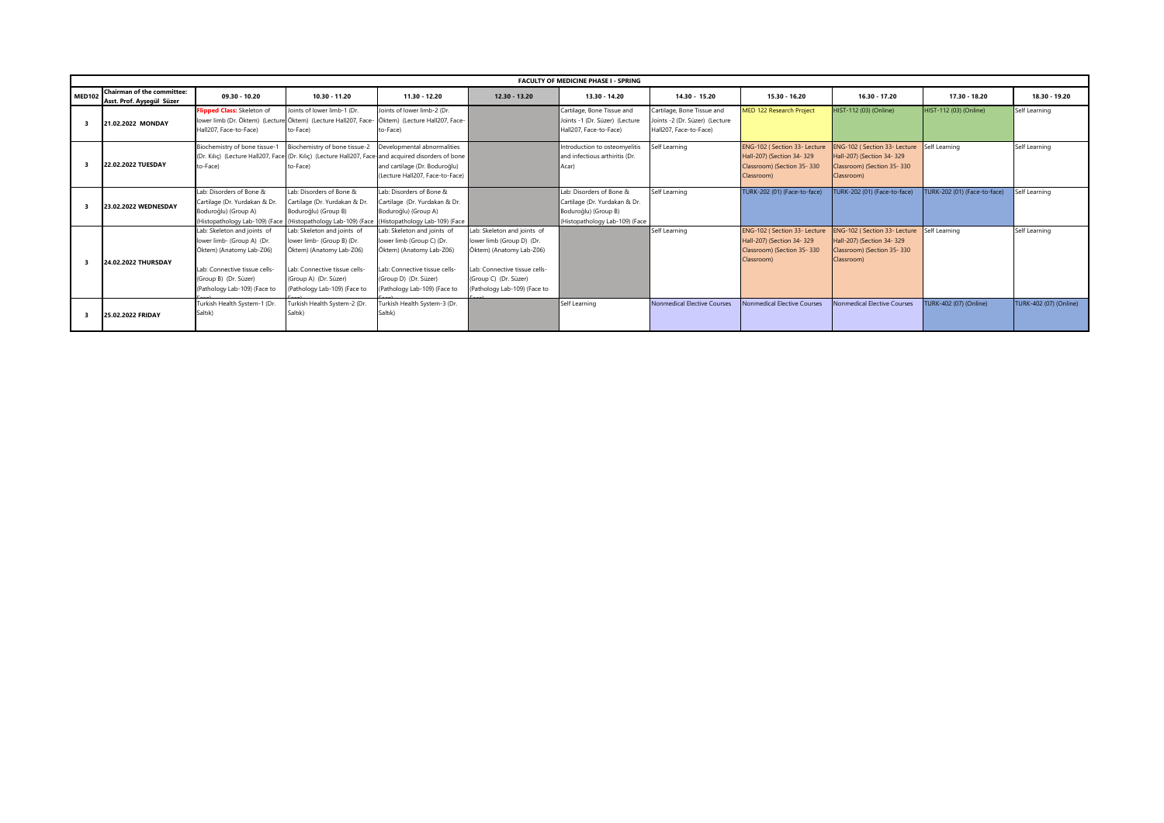|               | <b>FACULTY OF MEDICINE PHASE I - SPRING</b>                    |                                                                                                                                                                                 |                                                                                                                                                                                 |                                                                                                                                                                                |                                                                                                                                                                                |                                                                                                                     |                                                                                        |                                                                                                       |                                                                                                        |                              |                        |  |  |
|---------------|----------------------------------------------------------------|---------------------------------------------------------------------------------------------------------------------------------------------------------------------------------|---------------------------------------------------------------------------------------------------------------------------------------------------------------------------------|--------------------------------------------------------------------------------------------------------------------------------------------------------------------------------|--------------------------------------------------------------------------------------------------------------------------------------------------------------------------------|---------------------------------------------------------------------------------------------------------------------|----------------------------------------------------------------------------------------|-------------------------------------------------------------------------------------------------------|--------------------------------------------------------------------------------------------------------|------------------------------|------------------------|--|--|
| <b>MED102</b> | <b>Chairman of the committee:</b><br>Asst. Prof. Ayşegül Süzer | $09.30 - 10.20$                                                                                                                                                                 | $10.30 - 11.20$                                                                                                                                                                 | $11.30 - 12.20$                                                                                                                                                                | 12.30 - 13.20                                                                                                                                                                  | 13.30 - 14.20                                                                                                       | $14.30 - 15.20$                                                                        | 15.30 - 16.20                                                                                         | $16.30 - 17.20$                                                                                        | 17.30 - 18.20                | 18.30 - 19.20          |  |  |
|               | 21.02.2022 MONDAY                                              | Flipped Class: Skeleton of<br>Hall207, Face-to-Face)                                                                                                                            | Joints of lower limb-1 (Dr.<br>lower limb (Dr. Öktem) (Lecture Öktem) (Lecture Hall207, Face- Öktem) (Lecture Hall207, Face-<br>to-Face)                                        | Joints of lower limb-2 (Dr.<br>to-Face)                                                                                                                                        |                                                                                                                                                                                | Cartilage, Bone Tissue and<br>Joints -1 (Dr. Süzer) (Lecture<br>Hall207, Face-to-Face)                              | Cartilage, Bone Tissue and<br>Joints -2 (Dr. Süzer) (Lecture<br>Hall207, Face-to-Face) | <b>MED 122 Research Project</b>                                                                       | HIST-112 (03) (Online)                                                                                 | HIST-112 (03) (Online)       | Self Learning          |  |  |
|               | 22.02.2022 TUESDAY                                             | Biochemistry of bone tissue-1<br>to-Face)                                                                                                                                       | Biochemistry of bone tissue-2<br>(Dr. Kılıç) (Lecture Hall207, Face (Dr. Kılıç) (Lecture Hall207, Face-and acquired disorders of bone<br>to-Face)                               | Developmental abnormalities<br>and cartilage (Dr. Boduroğlu)<br>(Lecture Hall207, Face-to-Face)                                                                                |                                                                                                                                                                                | Introduction to osteomyelitis<br>and infectious arthiritis (Dr.<br>Acar)                                            | Self Learning                                                                          | ENG-102 (Section 33- Lecture<br>Hall-207) (Section 34-329<br>Classroom) (Section 35-330<br>Classroom) | ENG-102 (Section 33- Lecture<br>Hall-207) (Section 34- 329<br>Classroom) (Section 35-330<br>Classroom) | Self Learning                | Self Learning          |  |  |
|               | 23.02.2022 WEDNESDAY                                           | Lab: Disorders of Bone &<br>Cartilage (Dr. Yurdakan & Dr.<br>Boduroğlu) (Group A)                                                                                               | Lab: Disorders of Bone &<br>Cartilage (Dr. Yurdakan & Dr.<br>Boduroğlu) (Group B)<br>(Histopathology Lab-109) (Face (Histopathology Lab-109) (Face                              | Lab: Disorders of Bone &<br>Cartilage (Dr. Yurdakan & Dr.<br>Boduroğlu) (Group A)<br>(Histopathology Lab-109) (Face                                                            |                                                                                                                                                                                | Lab: Disorders of Bone &<br>Cartilage (Dr. Yurdakan & Dr.<br>Boduroğlu) (Group B)<br>(Histopathology Lab-109) (Face | Self Learning                                                                          | TURK-202 (01) (Face-to-face)                                                                          | FURK-202 (01) (Face-to-face)                                                                           | TURK-202 (01) (Face-to-face) | Self Learning          |  |  |
|               | 24.02.2022 THURSDAY                                            | Lab: Skeleton and joints of<br>lower limb- (Group A) (Dr.<br>Öktem) (Anatomy Lab-Z06)<br>Lab: Connective tissue cells-<br>(Group B) (Dr. Süzer)<br>(Pathology Lab-109) (Face to | Lab: Skeleton and joints of<br>lower limb- (Group B) (Dr.<br>Öktem) (Anatomy Lab-Z06)<br>Lab: Connective tissue cells-<br>(Group A) (Dr. Süzer)<br>(Pathology Lab-109) (Face to | Lab: Skeleton and joints of<br>lower limb (Group C) (Dr.<br>Öktem) (Anatomy Lab-Z06)<br>Lab: Connective tissue cells-<br>(Group D) (Dr. Süzer)<br>(Pathology Lab-109) (Face to | Lab: Skeleton and joints of<br>lower limb (Group D) (Dr.<br>Öktem) (Anatomy Lab-Z06)<br>Lab: Connective tissue cells-<br>(Group C) (Dr. Süzer)<br>(Pathology Lab-109) (Face to |                                                                                                                     | Self Learning                                                                          | ENG-102 (Section 33- Lecture<br>Hall-207) (Section 34-329<br>Classroom) (Section 35-330<br>Classroom) | ENG-102 (Section 33- Lecture<br>Hall-207) (Section 34- 329<br>Classroom) (Section 35-330<br>Classroom) | Self Learning                | Self Learning          |  |  |
|               | 25.02.2022 FRIDAY                                              | Turkish Health System-1 (Dr.<br>Saltık)                                                                                                                                         | Furkish Health System-2 (Dr.<br>Saltık)                                                                                                                                         | urkish Health System-3 (Dr.<br>Saltık)                                                                                                                                         |                                                                                                                                                                                | Self Learning                                                                                                       | <b>Nonmedical Elective Courses</b>                                                     | <b>Nonmedical Elective Courses</b>                                                                    | <b>Nonmedical Elective Courses</b>                                                                     | TURK-402 (07) (Online)       | TURK-402 (07) (Online) |  |  |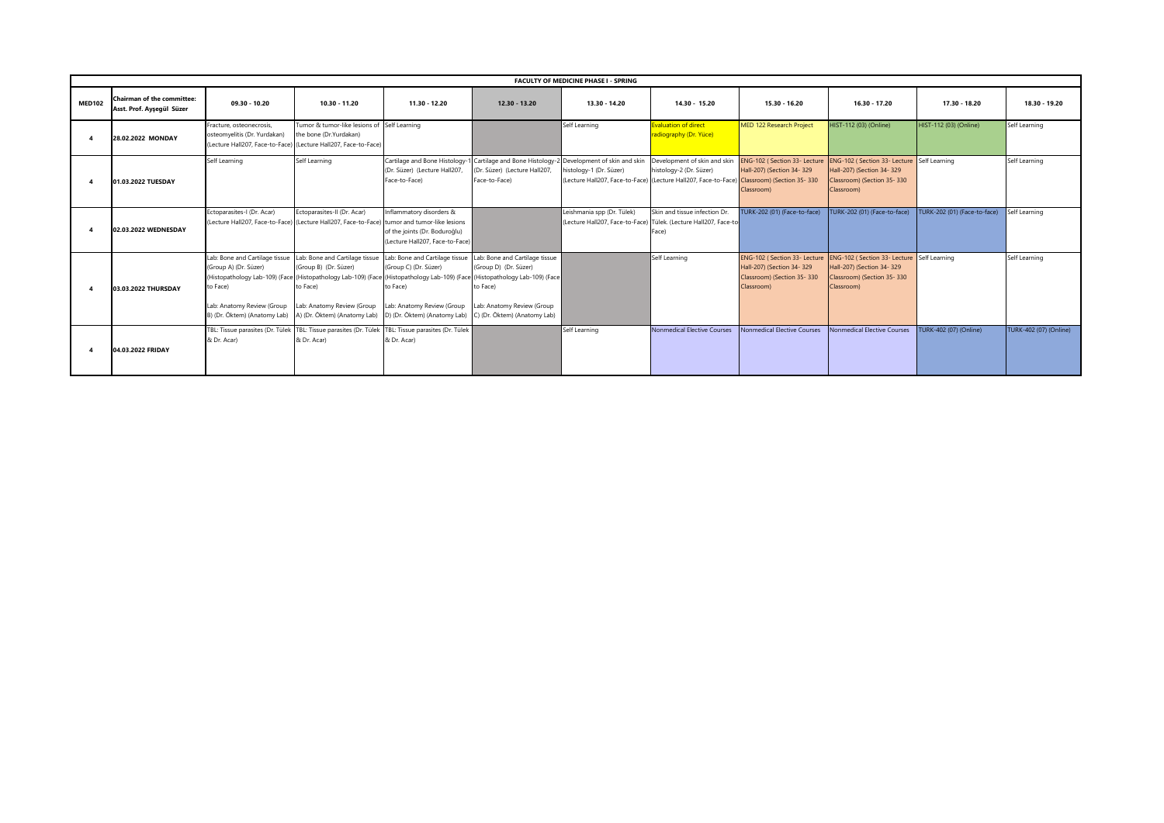|               | <b>FACULTY OF MEDICINE PHASE I - SPRING</b>             |                                                                                                                                   |                                                                                                                                   |                                                                                                                                                                                                                                                                  |                                                                                                                                   |                                                                                                                                                       |                                                                                                             |                                                                       |                                                                                                                                                   |                              |                        |  |  |
|---------------|---------------------------------------------------------|-----------------------------------------------------------------------------------------------------------------------------------|-----------------------------------------------------------------------------------------------------------------------------------|------------------------------------------------------------------------------------------------------------------------------------------------------------------------------------------------------------------------------------------------------------------|-----------------------------------------------------------------------------------------------------------------------------------|-------------------------------------------------------------------------------------------------------------------------------------------------------|-------------------------------------------------------------------------------------------------------------|-----------------------------------------------------------------------|---------------------------------------------------------------------------------------------------------------------------------------------------|------------------------------|------------------------|--|--|
| <b>MED102</b> | Chairman of the committee:<br>Asst. Prof. Aysegül Süzer | 09.30 - 10.20                                                                                                                     | 10.30 - 11.20                                                                                                                     | 11.30 - 12.20                                                                                                                                                                                                                                                    | 12.30 - 13.20                                                                                                                     | 13.30 - 14.20                                                                                                                                         | 14.30 - 15.20                                                                                               | 15.30 - 16.20                                                         | 16.30 - 17.20                                                                                                                                     | 17.30 - 18.20                | 18.30 - 19.20          |  |  |
|               | 28.02.2022 MONDAY                                       | Fracture, osteonecrosis,<br>osteomyelitis (Dr. Yurdakan)<br>(Lecture Hall207, Face-to-Face) (Lecture Hall207, Face-to-Face)       | Tumor & tumor-like lesions of Self Learning<br>the bone (Dr.Yurdakan)                                                             |                                                                                                                                                                                                                                                                  |                                                                                                                                   | Self Learning                                                                                                                                         | <b>Evaluation of direct</b><br>radiography (Dr. Yüce)                                                       | MED 122 Research Project                                              | HIST-112 (03) (Online)                                                                                                                            | HIST-112 (03) (Online)       | Self Learning          |  |  |
|               | 01.03.2022 TUESDAY                                      | Self Learning                                                                                                                     | Self Learning                                                                                                                     | Cartilage and Bone Histology-<br>(Dr. Süzer) (Lecture Hall207,<br>Face-to-Face)                                                                                                                                                                                  | 1 Cartilage and Bone Histology-<br>(Dr. Süzer) (Lecture Hall207,<br>Face-to-Face)                                                 | Development of skin and skin<br>histology-1 (Dr. Süzer)<br>(Lecture Hall207, Face-to-Face) (Lecture Hall207, Face-to-Face) Classroom) (Section 35-330 | Development of skin and skin<br>histology-2 (Dr. Süzer)                                                     | Hall-207) (Section 34-329<br>Classroom)                               | ENG-102 (Section 33- Lecture ENG-102 (Section 33- Lecture Self Learning<br>Hall-207) (Section 34- 329<br>Classroom) (Section 35-330<br>Classroom) |                              | Self Learning          |  |  |
|               | 02.03.2022 WEDNESDAY                                    | Ectoparasites-I (Dr. Acar)<br>(Lecture Hall207, Face-to-Face) (Lecture Hall207, Face-to-Face) tumor and tumor-like lesions        | Ectoparasites-II (Dr. Acar)                                                                                                       | Inflammatory disorders &<br>of the joints (Dr. Boduroğlu)<br>(Lecture Hall207, Face-to-Face)                                                                                                                                                                     |                                                                                                                                   | Leishmania spp (Dr. Tülek)                                                                                                                            | Skin and tissue infection Dr.<br>(Lecture Hall207, Face-to-Face) Tülek, (Lecture Hall207, Face-to-<br>Face) | TURK-202 (01) (Face-to-face)                                          | TURK-202 (01) (Face-to-face)                                                                                                                      | TURK-202 (01) (Face-to-face) | Self Learning          |  |  |
|               | 03.03.2022 THURSDAY                                     | Lab: Bone and Cartilage tissue<br>(Group A) (Dr. Süzer)<br>to Face)<br>Lab: Anatomy Review (Group<br>B) (Dr. Öktem) (Anatomy Lab) | Lab: Bone and Cartilage tissue<br>(Group B) (Dr. Süzer)<br>to Face)<br>Lab: Anatomy Review (Group<br>A) (Dr. Öktem) (Anatomy Lab) | Lab: Bone and Cartilage tissue<br>(Group C) (Dr. Süzer)<br>(Histopathology Lab-109) (Face (Histopathology Lab-109) (Face (Histopathology Lab-109) (Face (Histopathology Lab-109) (Face<br>to Face)<br>Lab: Anatomy Review (Group<br>D) (Dr. Öktem) (Anatomy Lab) | Lab: Bone and Cartilage tissue<br>(Group D) (Dr. Süzer)<br>to Face)<br>Lab: Anatomy Review (Group<br>C) (Dr. Öktem) (Anatomy Lab) |                                                                                                                                                       | Self Learning                                                                                               | Hall-207) (Section 34-329<br>Classroom) (Section 35-330<br>Classroom) | ENG-102 (Section 33- Lecture ENG-102 (Section 33- Lecture Self Learning<br>Hall-207) (Section 34- 329<br>Classroom) (Section 35-330<br>Classroom) |                              | Self Learning          |  |  |
|               | 04.03.2022 FRIDAY                                       | & Dr. Acar)                                                                                                                       | & Dr. Acar)                                                                                                                       | TBL: Tissue parasites (Dr. Tülek TBL: Tissue parasites (Dr. Tülek TBL: Tissue parasites (Dr. Tülek<br>& Dr. Acar)                                                                                                                                                |                                                                                                                                   | Self Learning                                                                                                                                         | <b>Nonmedical Elective Courses</b>                                                                          | Nonmedical Elective Courses                                           | Nonmedical Elective Courses                                                                                                                       | TURK-402 (07) (Online)       | TURK-402 (07) (Online) |  |  |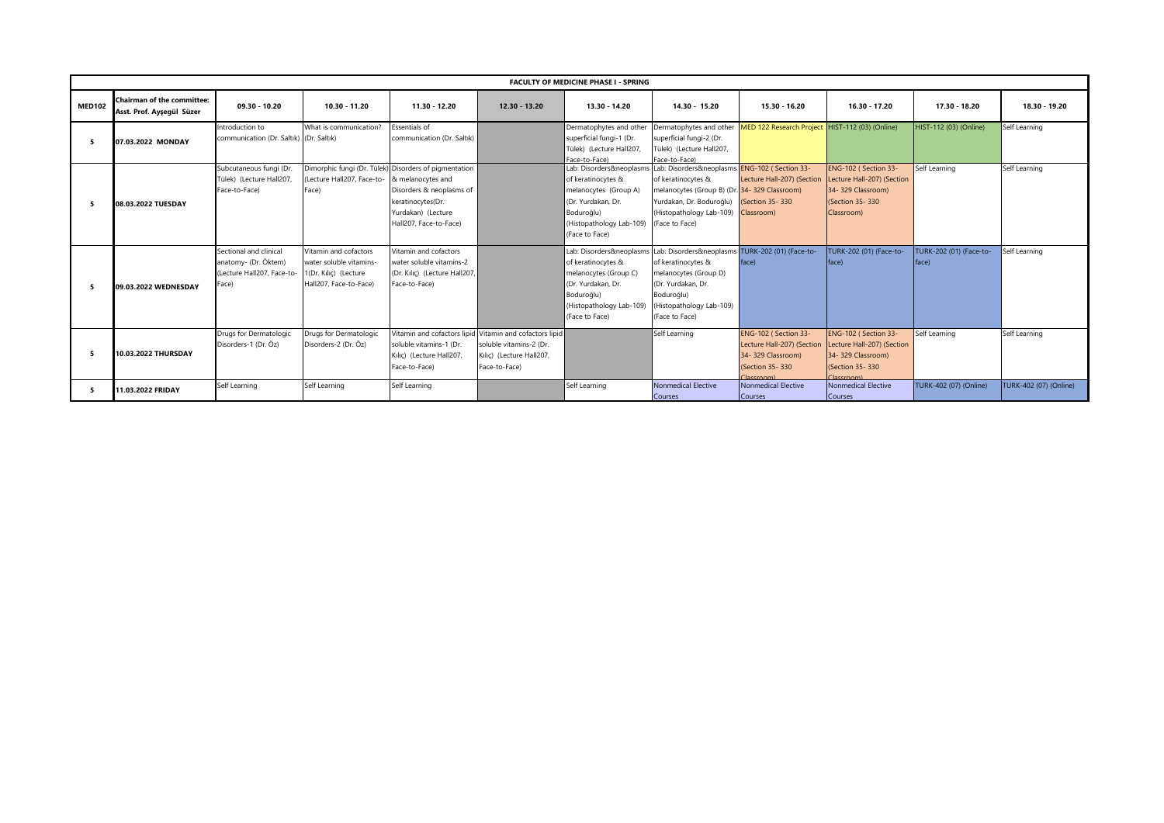|               | <b>FACULTY OF MEDICINE PHASE I - SPRING</b>             |                                                                                       |                                                                                                     |                                                                                                                                                        |                                                                                                                                 |                                                                                                                                                          |                                                                                                                                                                                                                        |                                                                                                          |                                                                                                                       |                                         |                        |  |  |
|---------------|---------------------------------------------------------|---------------------------------------------------------------------------------------|-----------------------------------------------------------------------------------------------------|--------------------------------------------------------------------------------------------------------------------------------------------------------|---------------------------------------------------------------------------------------------------------------------------------|----------------------------------------------------------------------------------------------------------------------------------------------------------|------------------------------------------------------------------------------------------------------------------------------------------------------------------------------------------------------------------------|----------------------------------------------------------------------------------------------------------|-----------------------------------------------------------------------------------------------------------------------|-----------------------------------------|------------------------|--|--|
| <b>MED102</b> | Chairman of the committee:<br>Asst. Prof. Ayseqül Süzer | 09.30 - 10.20                                                                         | $10.30 - 11.20$                                                                                     | 11.30 - 12.20                                                                                                                                          | $12.30 - 13.20$                                                                                                                 | 13.30 - 14.20                                                                                                                                            | $14.30 - 15.20$                                                                                                                                                                                                        | 15.30 - 16.20                                                                                            | 16.30 - 17.20                                                                                                         | 17.30 - 18.20                           | 18.30 - 19.20          |  |  |
|               | 07.03.2022 MONDAY                                       | Introduction to<br>communication (Dr. Saltık) (Dr. Saltık)                            | What is communication?                                                                              | <b>Essentials of</b><br>communication (Dr. Saltık)                                                                                                     |                                                                                                                                 | Dermatophytes and other<br>superficial fungi-1 (Dr.<br>Tülek) (Lecture Hall207<br>Face-to-Face)                                                          | Dermatophytes and other<br>superficial fungi-2 (Dr.<br>Tülek) (Lecture Hall207,<br>Face-to-Face)                                                                                                                       | MED 122 Research Project HIST-112 (03) (Online)                                                          |                                                                                                                       | HIST-112 (03) (Online)                  | Self Learning          |  |  |
|               | 08.03.2022 TUESDAY                                      | Subcutaneous fungi (Dr.<br>Tülek) (Lecture Hall207,<br>Face-to-Face)                  | (Lecture Hall207, Face-to- & melanocytes and<br>Face)                                               | Dimorphic fungi (Dr. Tülek) Disorders of pigmentation<br>Disorders & neoplasms of<br>keratinocytes(Dr.<br>Yurdakan) (Lecture<br>Hall207, Face-to-Face) |                                                                                                                                 | of keratinocytes &<br>melanocytes (Group A)<br>(Dr. Yurdakan, Dr.<br>Boduroğlu)<br>(Histopathology Lab-109)<br>(Face to Face)                            | Lab: Disorders&neoplasms Lab: Disorders&neoplasms ENG-102 (Section 33-<br>of keratinocytes &<br>melanocytes (Group B) (Dr. 34-329 Classroom)<br>Yurdakan, Dr. Boduroğlu)<br>(Histopathology Lab-109)<br>(Face to Face) | Lecture Hall-207) (Section<br>(Section 35-330)<br>Classroom)                                             | ENG-102 (Section 33-<br>Lecture Hall-207) (Section<br>34-329 Classroom)<br>(Section 35-330)<br>Classroom)             | Self Learning                           | Self Learning          |  |  |
|               | 09.03.2022 WEDNESDAY                                    | Sectional and clinical<br>anatomy- (Dr. Öktem)<br>(Lecture Hall207, Face-to-<br>Face) | Vitamin and cofactors<br>water soluble vitamins-<br>1(Dr. Kilic) (Lecture<br>Hall207, Face-to-Face) | Vitamin and cofactors<br>water soluble vitamins-2<br>(Dr. Kilic) (Lecture Hall207,<br>Face-to-Face)                                                    |                                                                                                                                 | Lab: Disorders&neoplasm:<br>of keratinocytes &<br>melanocytes (Group C)<br>(Dr. Yurdakan, Dr.<br>Boduroğlu)<br>(Histopathology Lab-109<br>(Face to Face) | Lab: Disorders&neoplasms<br>of keratinocytes &<br>melanocytes (Group D)<br>(Dr. Yurdakan, Dr.<br>Boduroğlu)<br>(Histopathology Lab-109)<br>(Face to Face)                                                              | TURK-202 (01) (Face-to-<br>face)                                                                         | TURK-202 (01) (Face-to-<br>face)                                                                                      | <b>TURK-202 (01) (Face-to-</b><br>face) | Self Learning          |  |  |
|               | 10.03.2022 THURSDAY                                     | Drugs for Dermatologic<br>Disorders-1 (Dr. Öz)                                        | Drugs for Dermatologic<br>Disorders-2 (Dr. Öz)                                                      | soluble vitamins-1 (Dr.<br>Kılıç) (Lecture Hall207,<br>Face-to-Face)                                                                                   | Vitamin and cofactors lipid Vitamin and cofactors lipid<br>soluble vitamins-2 (Dr.<br>Kilic) (Lecture Hall207,<br>Face-to-Face) |                                                                                                                                                          | Self Learning                                                                                                                                                                                                          | ENG-102 (Section 33-<br>Lecture Hall-207) (Section<br>34-329 Classroom)<br>(Section 35-330)<br>Incernam) | ENG-102 (Section 33-<br>Lecture Hall-207) (Section<br>34-329 Classroom)<br>(Section 35-330)<br>Classroom <sup>1</sup> | Self Learning                           | Self Learning          |  |  |
|               | 11.03.2022 FRIDAY                                       | Self Learning                                                                         | Self Learning                                                                                       | Self Learning                                                                                                                                          |                                                                                                                                 | Self Learning                                                                                                                                            | <b>Nonmedical Elective</b><br>Courses                                                                                                                                                                                  | Nonmedical Elective<br>Courses                                                                           | <b>Nonmedical Elective</b><br><b>Courses</b>                                                                          | TURK-402 (07) (Online)                  | TURK-402 (07) (Online) |  |  |